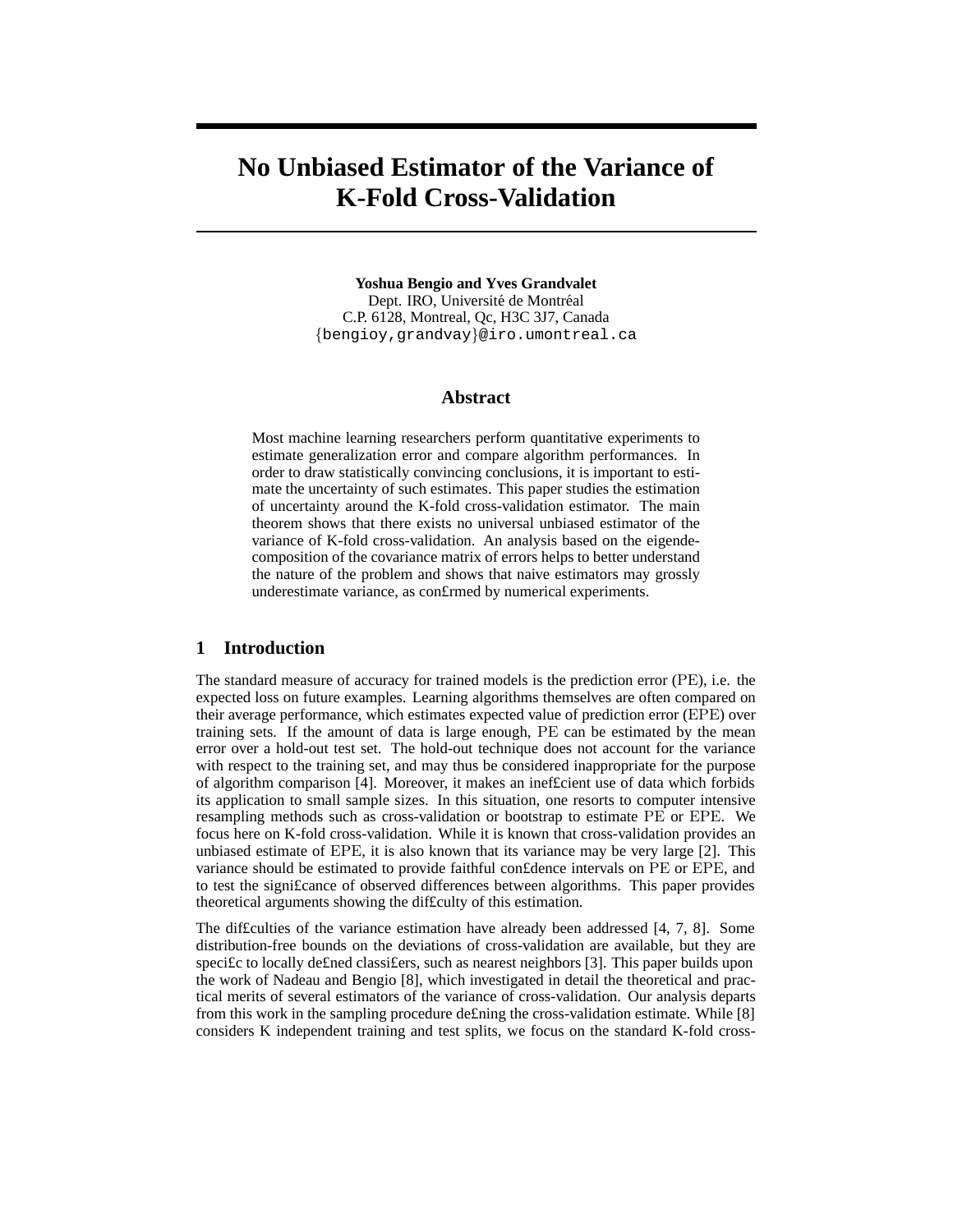# **No Unbiased Estimator of the Variance of K-Fold Cross-Validation**

**Yoshua Bengio and Yves Grandvalet** Dept. IRO, Université de Montréal C.P. 6128, Montreal, Qc, H3C 3J7, Canada {bengioy,grandvay}@iro.umontreal.ca

#### **Abstract**

Most machine learning researchers perform quantitative experiments to estimate generalization error and compare algorithm performances. In order to draw statistically convincing conclusions, it is important to estimate the uncertainty of such estimates. This paper studies the estimation of uncertainty around the K-fold cross-validation estimator. The main theorem shows that there exists no universal unbiased estimator of the variance of K-fold cross-validation. An analysis based on the eigendecomposition of the covariance matrix of errors helps to better understand the nature of the problem and shows that naive estimators may grossly underestimate variance, as con£rmed by numerical experiments.

# **1 Introduction**

The standard measure of accuracy for trained models is the prediction error (PE), i.e. the expected loss on future examples. Learning algorithms themselves are often compared on their average performance, which estimates expected value of prediction error (EPE) over training sets. If the amount of data is large enough, PE can be estimated by the mean error over a hold-out test set. The hold-out technique does not account for the variance with respect to the training set, and may thus be considered inappropriate for the purpose of algorithm comparison [4]. Moreover, it makes an inef£cient use of data which forbids its application to small sample sizes. In this situation, one resorts to computer intensive resampling methods such as cross-validation or bootstrap to estimate PE or EPE. We focus here on K-fold cross-validation. While it is known that cross-validation provides an unbiased estimate of EPE, it is also known that its variance may be very large [2]. This variance should be estimated to provide faithful con£dence intervals on PE or EPE, and to test the signi£cance of observed differences between algorithms. This paper provides theoretical arguments showing the dif£culty of this estimation.

The dif£culties of the variance estimation have already been addressed [4, 7, 8]. Some distribution-free bounds on the deviations of cross-validation are available, but they are speci£c to locally de£ned classi£ers, such as nearest neighbors [3]. This paper builds upon the work of Nadeau and Bengio [8], which investigated in detail the theoretical and practical merits of several estimators of the variance of cross-validation. Our analysis departs from this work in the sampling procedure de£ning the cross-validation estimate. While [8] considers K independent training and test splits, we focus on the standard K-fold cross-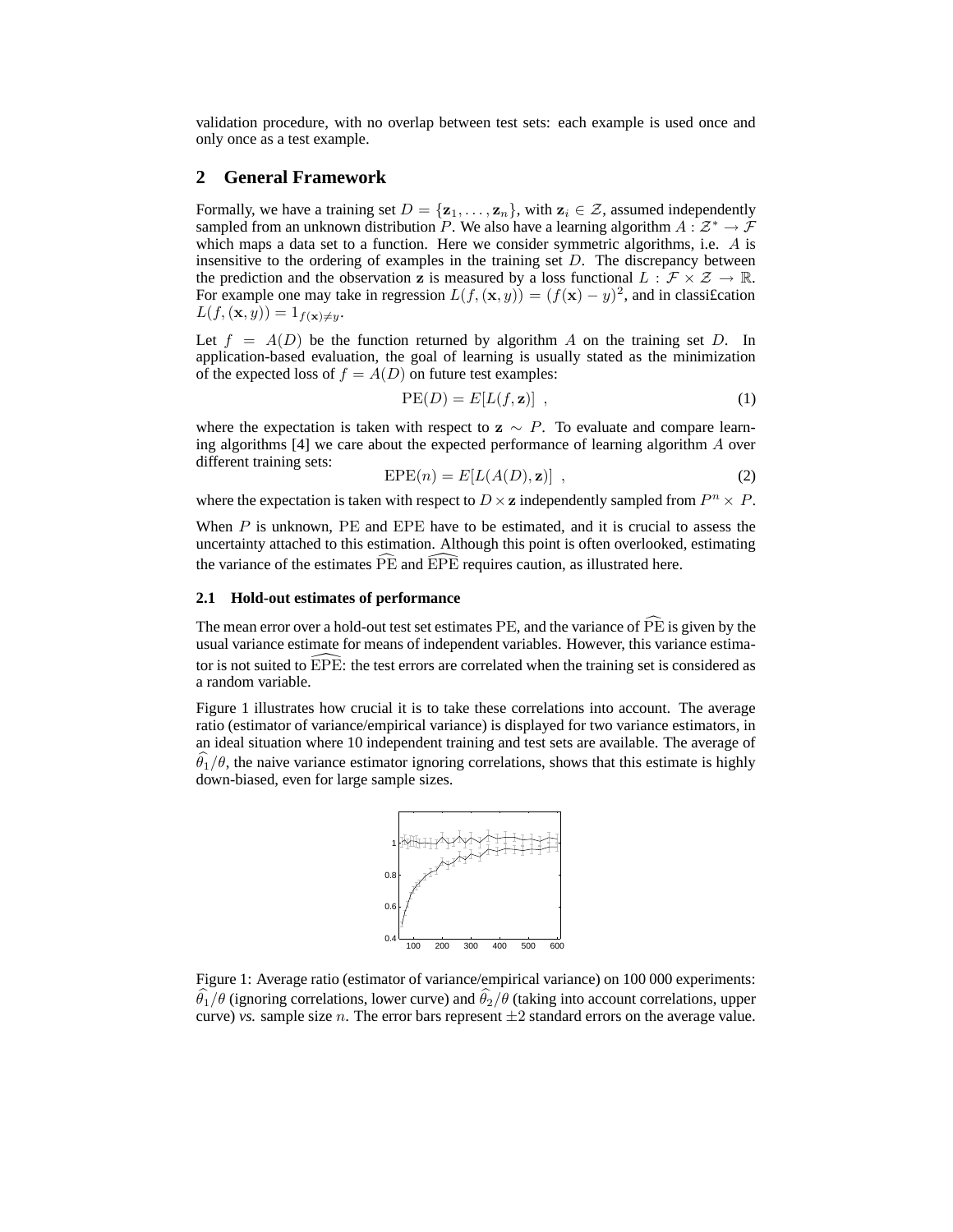validation procedure, with no overlap between test sets: each example is used once and only once as a test example.

# **2 General Framework**

Formally, we have a training set  $D = \{z_1, \ldots, z_n\}$ , with  $z_i \in \mathcal{Z}$ , assumed independently sampled from an unknown distribution P. We also have a learning algorithm  $A: \mathcal{Z}^* \to \mathcal{F}$ which maps a data set to a function. Here we consider symmetric algorithms, i.e.  $A$  is insensitive to the ordering of examples in the training set D. The discrepancy between the prediction and the observation z is measured by a loss functional  $L : \mathcal{F} \times \mathcal{Z} \to \mathbb{R}$ . For example one may take in regression  $L(f, (\mathbf{x}, y)) = (f(\mathbf{x}) - y)^2$ , and in classification  $L(f, (\mathbf{x}, y)) = 1_{f(\mathbf{x}) \neq y}.$ 

Let  $f = A(D)$  be the function returned by algorithm A on the training set D. In application-based evaluation, the goal of learning is usually stated as the minimization of the expected loss of  $f = A(D)$  on future test examples:

$$
PE(D) = E[L(f, \mathbf{z})], \qquad (1)
$$

where the expectation is taken with respect to  $z \sim P$ . To evaluate and compare learning algorithms  $[4]$  we care about the expected performance of learning algorithm A over different training sets:

$$
EPE(n) = E[L(A(D), z)] , \qquad (2)
$$

where the expectation is taken with respect to  $D \times \mathbf{z}$  independently sampled from  $P^n \times P$ .

When  $P$  is unknown,  $PE$  and  $EPE$  have to be estimated, and it is crucial to assess the uncertainty attached to this estimation. Although this point is often overlooked, estimating the variance of the estimates  $\widehat{PE}$  and  $\widehat{EPE}$  requires caution, as illustrated here.

#### **2.1 Hold-out estimates of performance**

The mean error over a hold-out test set estimates  $PE$ , and the variance of  $\overline{PE}$  is given by the usual variance estimate for means of independent variables. However, this variance estimator is not suited to  $\overline{EPE}$ : the test errors are correlated when the training set is considered as a random variable.

Figure 1 illustrates how crucial it is to take these correlations into account. The average ratio (estimator of variance/empirical variance) is displayed for two variance estimators, in an ideal situation where 10 independent training and test sets are available. The average of  $\hat{\theta}_1/\theta$ , the naive variance estimator ignoring correlations, shows that this estimate is highly down-biased, even for large sample sizes.



Figure 1: Average ratio (estimator of variance/empirical variance) on 100 000 experiments:  $\theta_1/\theta$  (ignoring correlations, lower curve) and  $\theta_2/\theta$  (taking into account correlations, upper curve) *vs.* sample size *n*. The error bars represent  $\pm 2$  standard errors on the average value.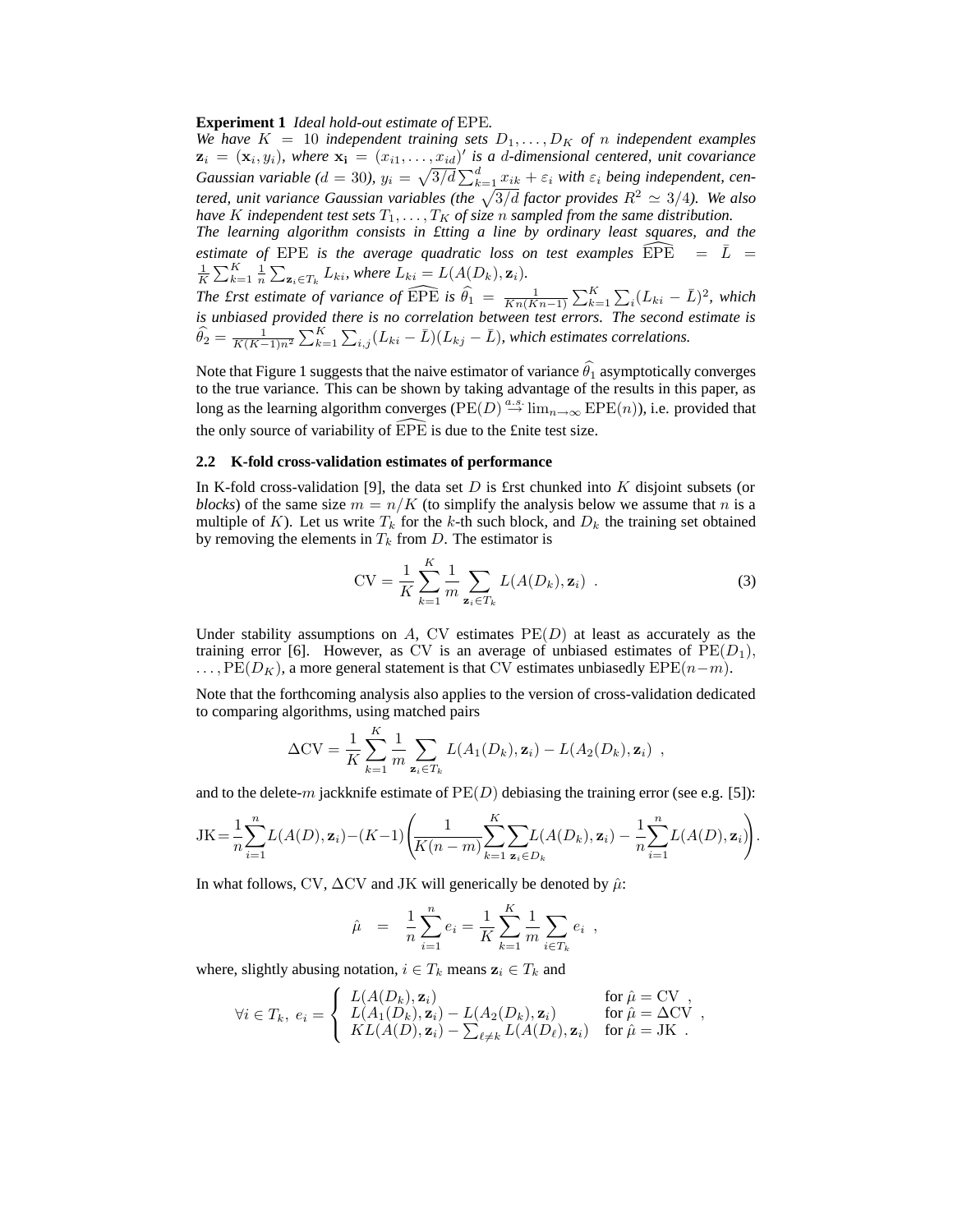#### **Experiment 1** *Ideal hold-out estimate of* EPE*.*

*We have*  $K = 10$  *independent training sets*  $D_1, \ldots, D_K$  *of n independent examples*  $z_i = (x_i, y_i)$ , where  $x_i = (x_{i1}, \ldots, x_{id})'$  is a d-dimensional centered, unit covariance *Gaussian variable* ( $d = 30$ ),  $y_i = \sqrt{3/d} \sum_{k=1}^d x_{ik} + \varepsilon_i$  *with*  $\varepsilon_i$  *being independent, centered, unit variance Gaussian variables (the*  $\sqrt{3/d}$  *factor provides*  $R^2 \simeq 3/4$ ). We also *have*  $K$  *independent test sets*  $T_1, \ldots, T_K$  *of size*  $n$  *sampled from the same distribution.* 

*The learning algorithm consists in £tting a line by ordinary least squares, and the estimate of* EPE *is the average quadratic loss on test examples*  $\widehat{EPE}$  =  $\overline{L}$  =  $\frac{1}{K}\sum_{k=1}^K \frac{1}{n} \sum_{\mathbf{z}_i \in T_k} L_{ki}$ , where  $L_{ki} = L(A(D_k), \mathbf{z}_i)$ .

*The first estimate of variance of*  $\widehat{EPE}$  *is*  $\widehat{\theta}_1 = \frac{1}{Kn(Kn-1)} \sum_{k=1}^K \sum_i (L_{ki} - \overline{L})^2$ , which *is unbiased provided there is no correlation between test errors. The second estimate is*  $\widehat{\theta}_2 = \frac{1}{K(K-1)n^2} \sum_{k=1}^K \sum_{i,j} (L_{ki} - \bar{L})(L_{kj} - \bar{L})$ , which estimates correlations.

Note that Figure 1 suggests that the naive estimator of variance  $\widehat{\theta}_1$  asymptotically converges to the true variance. This can be shown by taking advantage of the results in this paper, as long as the learning algorithm converges ( $PE(D) \stackrel{a.s.}{\rightarrow} \lim_{n \to \infty} EPE(n)$ ), i.e. provided that the only source of variability of  $\widehat{EPE}$  is due to the £nite test size.

#### **2.2 K-fold cross-validation estimates of performance**

In K-fold cross-validation [9], the data set  $D$  is £rst chunked into  $K$  disjoint subsets (or *blocks*) of the same size  $m = n/K$  (to simplify the analysis below we assume that n is a multiple of K). Let us write  $T_k$  for the k-th such block, and  $D_k$  the training set obtained by removing the elements in  $T_k$  from D. The estimator is

$$
CV = \frac{1}{K} \sum_{k=1}^{K} \frac{1}{m} \sum_{\mathbf{z}_i \in T_k} L(A(D_k), \mathbf{z}_i) .
$$
 (3)

Under stability assumptions on  $A$ , CV estimates  $PE(D)$  at least as accurately as the training error [6]. However, as CV is an average of unbiased estimates of  $PE(D_1)$ ,  $\ldots$ ,  $PE(D_K)$ , a more general statement is that CV estimates unbiasedly  $EPE(n-m)$ .

Note that the forthcoming analysis also applies to the version of cross-validation dedicated to comparing algorithms, using matched pairs

$$
\Delta CV = \frac{1}{K} \sum_{k=1}^{K} \frac{1}{m} \sum_{\mathbf{z}_i \in T_k} L(A_1(D_k), \mathbf{z}_i) - L(A_2(D_k), \mathbf{z}_i) ,
$$

and to the delete-m jackknife estimate of  $PE(D)$  debiasing the training error (see e.g. [5]):

$$
JK = \frac{1}{n}\sum_{i=1}^n L(A(D), \mathbf{z}_i) - (K-1)\left(\frac{1}{K(n-m)}\sum_{k=1}^K \sum_{\mathbf{z}_i \in D_k} L(A(D_k), \mathbf{z}_i) - \frac{1}{n}\sum_{i=1}^n L(A(D), \mathbf{z}_i)\right).
$$

In what follows, CV,  $\Delta$ CV and JK will generically be denoted by  $\hat{\mu}$ :

$$
\hat{\mu} = \frac{1}{n} \sum_{i=1}^{n} e_i = \frac{1}{K} \sum_{k=1}^{K} \frac{1}{m} \sum_{i \in T_k} e_i ,
$$

where, slightly abusing notation,  $i \in T_k$  means  $z_i \in T_k$  and

$$
\forall i \in T_k, \ e_i = \left\{ \begin{array}{ll} L(A(D_k), \mathbf{z}_i) & \text{for } \hat{\mu} = \text{CV} \ , \\ L(A_1(D_k), \mathbf{z}_i) - L(A_2(D_k), \mathbf{z}_i) & \text{for } \hat{\mu} = \Delta \text{CV} \ , \\ KL(A(D), \mathbf{z}_i) - \sum_{\ell \neq k} L(A(D_\ell), \mathbf{z}_i) & \text{for } \hat{\mu} = \text{JK} \ . \end{array} \right.
$$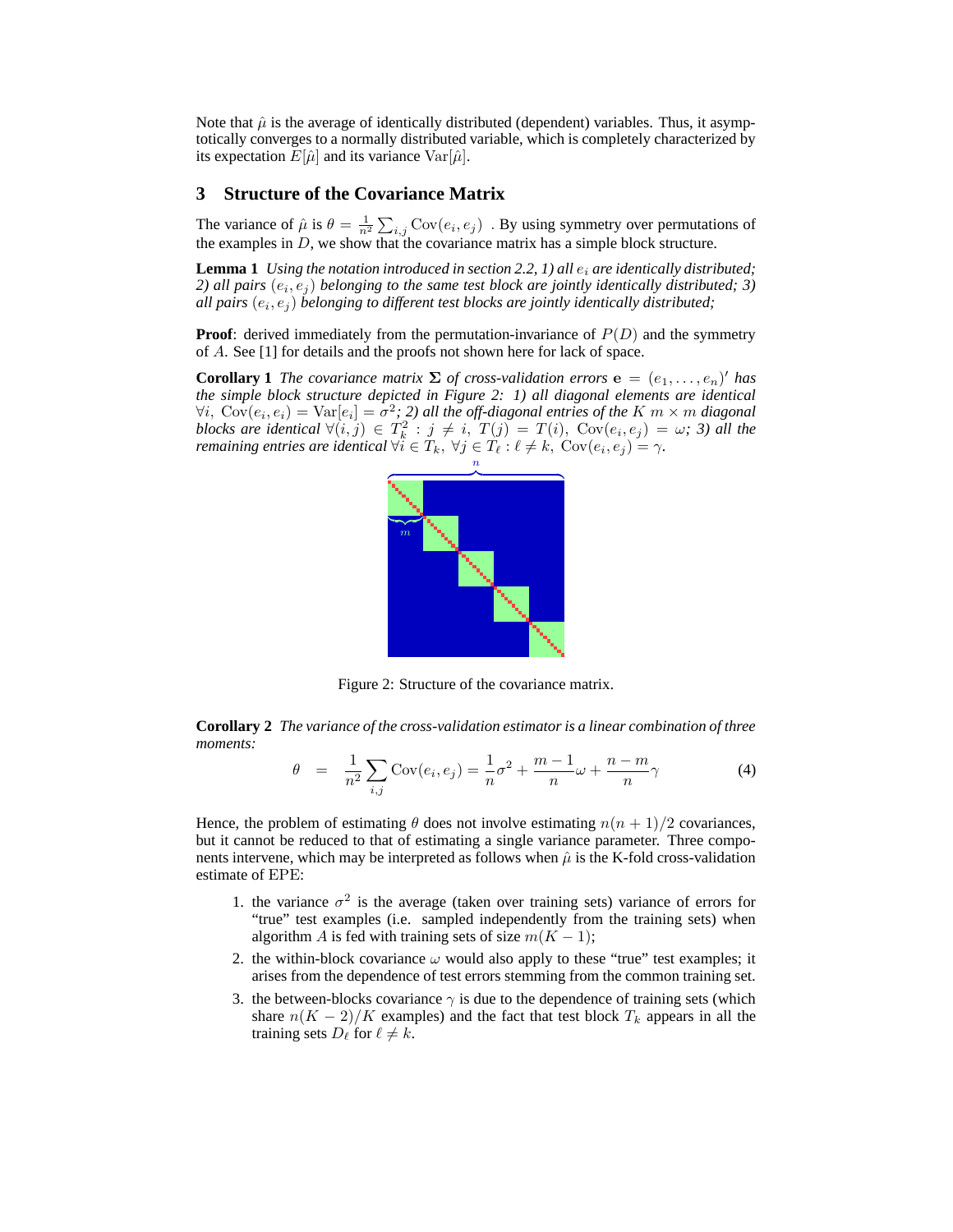Note that  $\hat{\mu}$  is the average of identically distributed (dependent) variables. Thus, it asymptotically converges to a normally distributed variable, which is completely characterized by its expectation  $E[\hat{\mu}]$  and its variance  $Var[\hat{\mu}]$ .

## **3 Structure of the Covariance Matrix**

The variance of  $\hat{\mu}$  is  $\theta = \frac{1}{n^2} \sum_{i,j} \text{Cov}(e_i, e_j)$ . By using symmetry over permutations of the examples in  $D$ , we show that the covariance matrix has a simple block structure.

**Lemma 1** *Using the notation introduced in section 2.2, 1) all*  $e_i$  *are identically distributed;* 2) all pairs  $(e_i, e_j)$  belonging to the same test block are jointly identically distributed; 3) all pairs  $(e_i,e_j)$  belonging to different test blocks are jointly identically distributed;

**Proof**: derived immediately from the permutation-invariance of  $P(D)$  and the symmetry of A. See [1] for details and the proofs not shown here for lack of space.

**Corollary 1** *The covariance matrix*  $\Sigma$  *of cross-validation errors*  $e = (e_1, \ldots, e_n)'$  *has the simple block structure depicted in Figure 2: 1) all diagonal elements are identical*  $\forall i, \; \mathrm{Cov}(e_i, e_i) = \mathrm{Var}[e_i] = \sigma^2; 2$ ) all the off-diagonal entries of the  $K \; m \times m$  diagonal *blocks are identical*  $\forall (i, j) \in T_k^2 : j \neq i$ ,  $T(j) = T(i)$ ,  $Cov(e_i, e_j) = \omega$ ; 3) all the *remaining entries are identical*  $\forall i \in T_k$ ,  $\forall j \in T_\ell : \ell \neq k$ ,  $Cov(e_i, e_j) = \gamma$ .



Figure 2: Structure of the covariance matrix.

**Corollary 2** *The variance of the cross-validation estimator is a linear combination of three moments:*

$$
\theta = \frac{1}{n^2} \sum_{i,j} \text{Cov}(e_i, e_j) = \frac{1}{n} \sigma^2 + \frac{m-1}{n} \omega + \frac{n-m}{n} \gamma \tag{4}
$$

Hence, the problem of estimating  $\theta$  does not involve estimating  $n(n + 1)/2$  covariances, but it cannot be reduced to that of estimating a single variance parameter. Three components intervene, which may be interpreted as follows when  $\hat{\mu}$  is the K-fold cross-validation estimate of EPE:

- 1. the variance  $\sigma^2$  is the average (taken over training sets) variance of errors for "true" test examples (i.e. sampled independently from the training sets) when algorithm A is fed with training sets of size  $m(K - 1)$ ;
- 2. the within-block covariance  $\omega$  would also apply to these "true" test examples; it arises from the dependence of test errors stemming from the common training set.
- 3. the between-blocks covariance  $\gamma$  is due to the dependence of training sets (which share  $n(K-2)/K$  examples) and the fact that test block  $T_k$  appears in all the training sets  $D_{\ell}$  for  $\ell \neq k$ .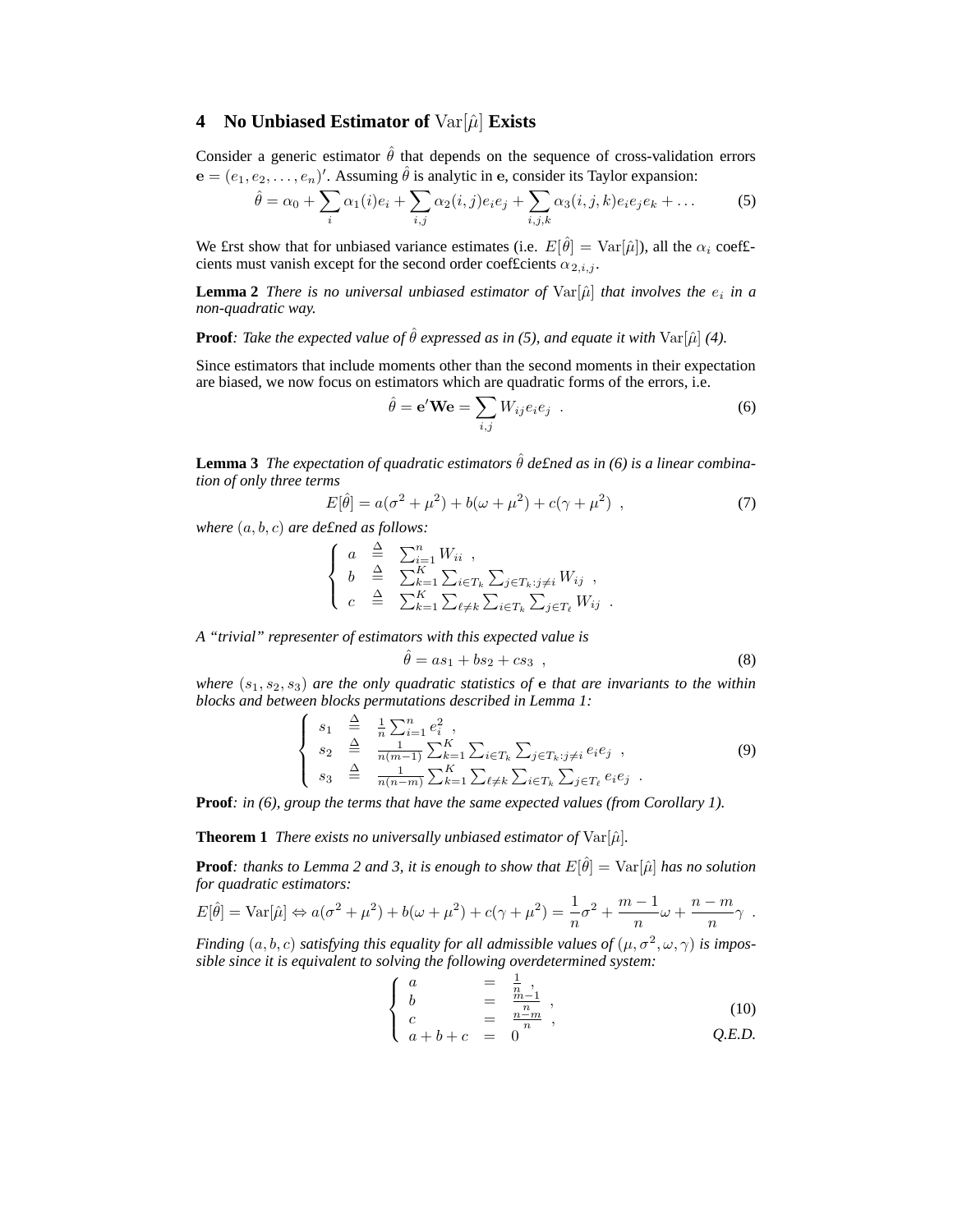# **4** No Unbiased Estimator of  $Var[\hat{\mu}]$  Exists

Consider a generic estimator  $\hat{\theta}$  that depends on the sequence of cross-validation errors  ${\bf e} = (e_1, e_2, \dots, e_n)'$ . Assuming  $\hat{\theta}$  is analytic in e, consider its Taylor expansion:

$$
\hat{\theta} = \alpha_0 + \sum_i \alpha_1(i)e_i + \sum_{i,j} \alpha_2(i,j)e_i e_j + \sum_{i,j,k} \alpha_3(i,j,k)e_i e_j e_k + \dots \tag{5}
$$

We £rst show that for unbiased variance estimates (i.e.  $E[\hat{\theta}] = Var[\hat{\mu}]$ ), all the  $\alpha_i$  coef£cients must vanish except for the second order coefficients  $\alpha_{2,i,j}$ .

**Lemma 2** *There is no universal unbiased estimator of*  $Var[\hat{\mu}]$  *that involves the*  $e_i$  *in a non-quadratic way.*

**Proof***: Take the expected value of*  $\hat{\theta}$  *expressed as in (5), and equate it with* Var[ $\hat{\mu}$ ] *(4).* 

Since estimators that include moments other than the second moments in their expectation are biased, we now focus on estimators which are quadratic forms of the errors, i.e.

$$
\hat{\theta} = \mathbf{e}^{\prime} \mathbf{W} \mathbf{e} = \sum_{i,j} W_{ij} e_i e_j .
$$
 (6)

**Lemma 3** *The expectation of quadratic estimators*  $\hat{\theta}$  *defined as in (6) is a linear combination of only three terms*

$$
E[\hat{\theta}] = a(\sigma^2 + \mu^2) + b(\omega + \mu^2) + c(\gamma + \mu^2) , \qquad (7)
$$

*where* (a, b, c) *are de£ned as follows:*

$$
\begin{cases}\n a \stackrel{\Delta}{=} \sum_{i=1}^{n} W_{ii} , \\
 b \stackrel{\Delta}{=} \sum_{k=1}^{K} \sum_{i \in T_k} \sum_{j \in T_k : j \neq i} W_{ij} , \\
 c \stackrel{\Delta}{=} \sum_{k=1}^{K} \sum_{\ell \neq k} \sum_{i \in T_k} \sum_{j \in T_\ell} W_{ij} .\n\end{cases}
$$

*A "trivial" representer of estimators with this expected value is*

$$
\hat{\theta} = as_1 + bs_2 + cs_3 \quad , \tag{8}
$$

*where*  $(s_1, s_2, s_3)$  *are the only quadratic statistics of e that are invariants to the within blocks and between blocks permutations described in Lemma 1:*

$$
\begin{cases}\ns_1 \stackrel{\Delta}{=} \frac{1}{n} \sum_{i=1}^n e_i^2, \\
s_2 \stackrel{\Delta}{=} \frac{1}{n(m-1)} \sum_{k=1}^K \sum_{i \in T_k} \sum_{j \in T_k : j \neq i} e_i e_j, \\
s_3 \stackrel{\Delta}{=} \frac{1}{n(n-m)} \sum_{k=1}^K \sum_{\ell \neq k} \sum_{i \in T_k} \sum_{j \in T_\ell} e_i e_j.\n\end{cases} \tag{9}
$$

**Proof***: in (6), group the terms that have the same expected values (from Corollary 1).*

**Theorem 1** *There exists no universally unbiased estimator of*  $\text{Var}[\hat{\mu}]$ *.* 

**Proof***: thanks to Lemma 2 and 3, it is enough to show that*  $E[\hat{\theta}] = \text{Var}[\hat{\mu}]$  *has no solution for quadratic estimators:*

$$
E[\hat{\theta}] = \text{Var}[\hat{\mu}] \Leftrightarrow a(\sigma^2 + \mu^2) + b(\omega + \mu^2) + c(\gamma + \mu^2) = \frac{1}{n}\sigma^2 + \frac{m-1}{n}\omega + \frac{n-m}{n}\gamma.
$$

*Finding*  $(a, b, c)$  *satisfying this equality for all admissible values of*  $(\mu, \sigma^2, \omega, \gamma)$  *is impossible since it is equivalent to solving the following overdetermined system:*

$$
\begin{cases}\n a &= \frac{1}{n}, \\
 b &= \frac{n-1}{n}, \\
 c &= \frac{n}{n},\n\end{cases} \tag{10}
$$

$$
\left(\begin{array}{cc} c & - \\ a+b+c & = & 0 \end{array}\right)^n \qquad Q.E.D.
$$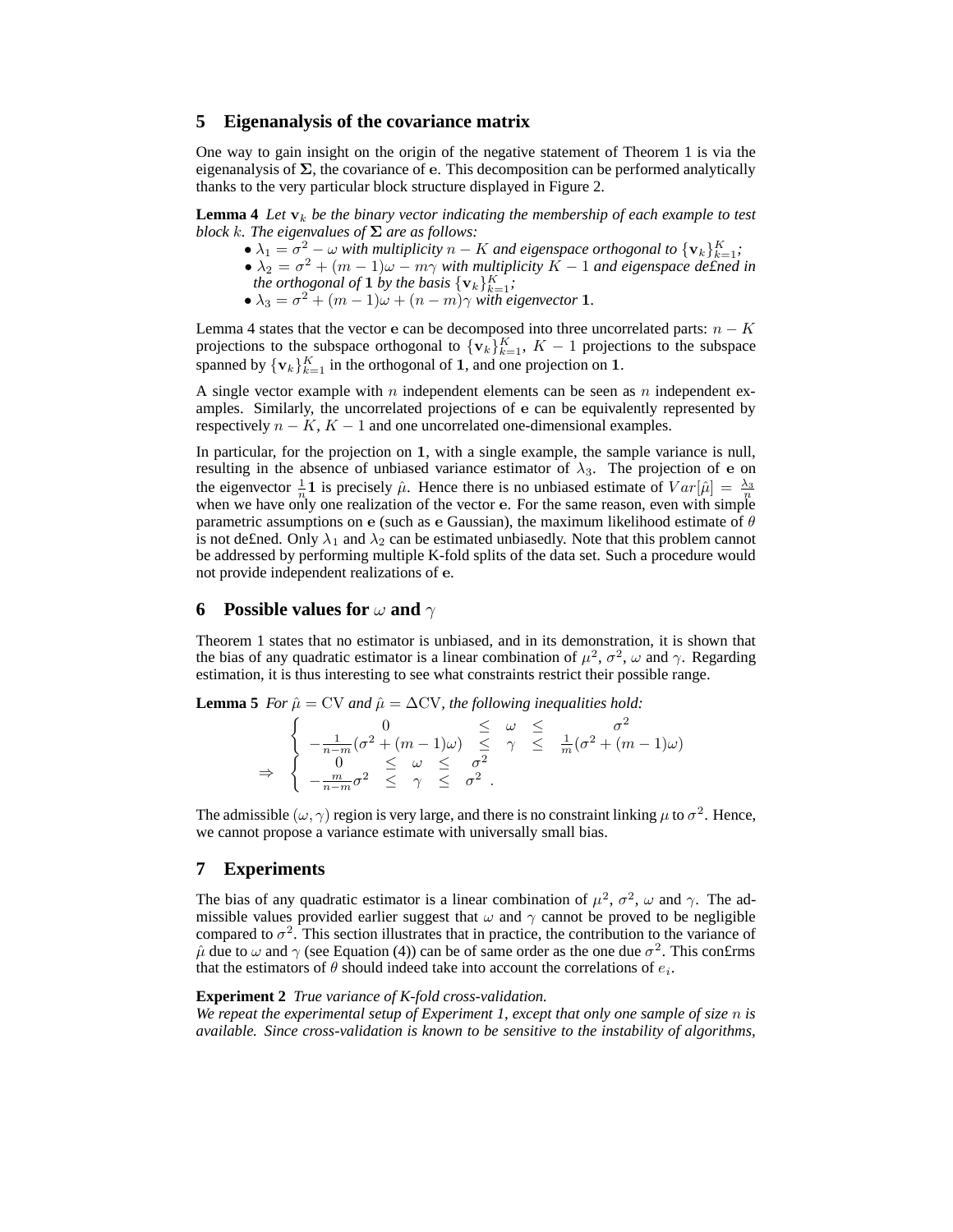### **5 Eigenanalysis of the covariance matrix**

One way to gain insight on the origin of the negative statement of Theorem 1 is via the eigenanalysis of  $\Sigma$ , the covariance of e. This decomposition can be performed analytically thanks to the very particular block structure displayed in Figure 2.

**Lemma 4** Let  $v_k$  be the binary vector indicating the membership of each example to test *block k. The eigenvalues of*  $\Sigma$  *are as follows:* 

- $\lambda_1 = \sigma^2 \omega$  *with multiplicity*  $n K$  *and eigenspace orthogonal to*  $\{v_k\}_{k=1}^K$ ;
- $\lambda_2 = \sigma^2 + (m-1)\omega m\gamma$  with multiplicity  $K-1$  and eigenspace defined in *the orthogonal of* **1** *by the basis*  $\{v_k\}_{k=1}^K$ ;
	- $\lambda_3 = \sigma^2 + (m-1)\omega + (n-m)\gamma$  with eigenvector 1.

Lemma 4 states that the vector e can be decomposed into three uncorrelated parts:  $n - K$ projections to the subspace orthogonal to  $\{v_k\}_{k=1}^K$ ,  $K-1$  projections to the subspace spanned by  $\{v_k\}_{k=1}^K$  in the orthogonal of 1, and one projection on 1.

A single vector example with n independent elements can be seen as n independent examples. Similarly, the uncorrelated projections of e can be equivalently represented by respectively  $n - K$ ,  $K - 1$  and one uncorrelated one-dimensional examples.

In particular, for the projection on 1, with a single example, the sample variance is null, resulting in the absence of unbiased variance estimator of  $\lambda_3$ . The projection of e on the eigenvector  $\frac{1}{n}$  **1** is precisely  $\hat{\mu}$ . Hence there is no unbiased estimate of  $Var[\hat{\mu}] = \frac{\lambda_3}{n}$ when we have only one realization of the vector e. For the same reason, even with simple parametric assumptions on e (such as e Gaussian), the maximum likelihood estimate of  $\theta$ is not defined. Only  $\lambda_1$  and  $\lambda_2$  can be estimated unbiasedly. Note that this problem cannot be addressed by performing multiple K-fold splits of the data set. Such a procedure would not provide independent realizations of e.

## **6 Possible values for** ω **and** γ

Theorem 1 states that no estimator is unbiased, and in its demonstration, it is shown that the bias of any quadratic estimator is a linear combination of  $\mu^2$ ,  $\sigma^2$ ,  $\omega$  and  $\gamma$ . Regarding estimation, it is thus interesting to see what constraints restrict their possible range.

**Lemma 5** *For*  $\hat{\mu} = CV$  *and*  $\hat{\mu} = \Delta CV$ *, the following inequalities hold:* 

$$
\Rightarrow \begin{cases}\n0 & \leq \omega \leq \sigma^2 \\
-\frac{1}{n-m}(\sigma^2 + (m-1)\omega) & \leq \gamma \leq \frac{1}{m}(\sigma^2 + (m-1)\omega) \\
0 & \leq \omega \leq \sigma^2 \\
-\frac{m}{n-m}\sigma^2 & \leq \gamma \leq \sigma^2.\n\end{cases}
$$

The admissible  $(\omega, \gamma)$  region is very large, and there is no constraint linking  $\mu$  to  $\sigma^2$ . Hence, we cannot propose a variance estimate with universally small bias.

## **7 Experiments**

The bias of any quadratic estimator is a linear combination of  $\mu^2$ ,  $\sigma^2$ ,  $\omega$  and  $\gamma$ . The admissible values provided earlier suggest that  $\omega$  and  $\gamma$  cannot be proved to be negligible compared to  $\sigma^2$ . This section illustrates that in practice, the contribution to the variance of  $\hat{\mu}$  due to  $\omega$  and  $\gamma$  (see Equation (4)) can be of same order as the one due  $\sigma^2$ . This confirms that the estimators of  $\theta$  should indeed take into account the correlations of  $e_i$ .

## **Experiment 2** *True variance of K-fold cross-validation.*

*We repeat the experimental setup of Experiment 1, except that only one sample of size* n *is available. Since cross-validation is known to be sensitive to the instability of algorithms,*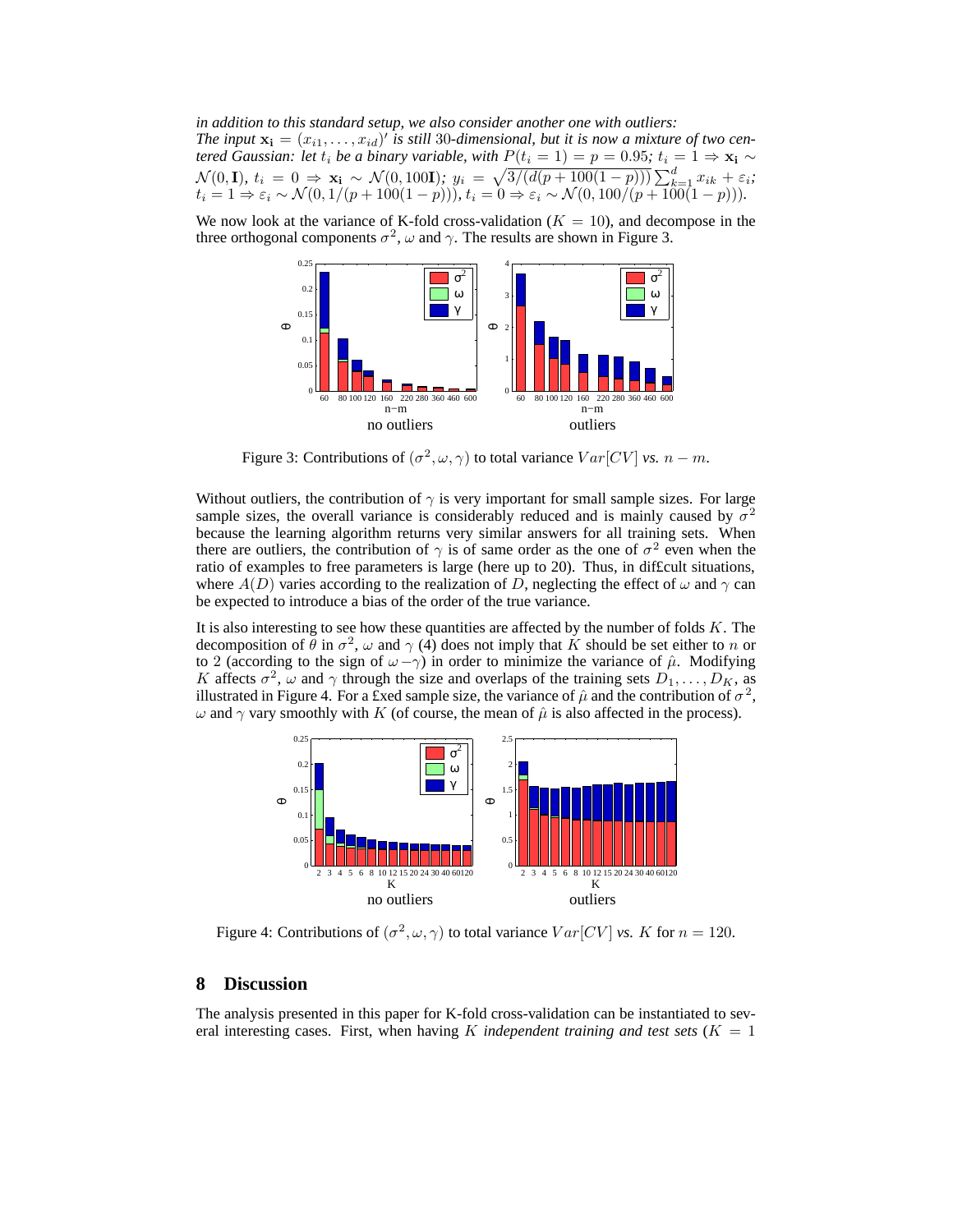*in addition to this standard setup, we also consider another one with outliers:* The input  $\mathbf{x_i} = (x_{i1}, \dots, x_{id})'$  is still 30-dimensional, but it is now a mixture of two cen*tered Gaussian: let*  $t_i$  *be a binary variable, with*  $P(t_i = 1) = p = 0.95$ ;  $t_i = 1 \Rightarrow x_i \sim$  $\mathcal{N}(0, \mathbf{I}), t_i = 0 \Rightarrow \mathbf{x_i} \sim \mathcal{N}(0, 100\mathbf{I}); y_i = \sqrt{\frac{3}{d(p+100(1-p))}\sum_{k=1}^{d} x_{ik} + \varepsilon_i};$  $t_i = 1 \Rightarrow \varepsilon_i \sim \mathcal{N}(0, 1/(p + 100(1 - p))), t_i = 0 \Rightarrow \varepsilon_i \sim \mathcal{N}(0, 100/(p + 100(1 - p))).$ 

We now look at the variance of K-fold cross-validation  $(K = 10)$ , and decompose in the three orthogonal components  $\sigma^2$ ,  $\omega$  and  $\gamma$ . The results are shown in Figure 3.



Figure 3: Contributions of  $(\sigma^2, \omega, \gamma)$  to total variance  $Var[CV]$  *vs.*  $n - m$ .

Without outliers, the contribution of  $\gamma$  is very important for small sample sizes. For large sample sizes, the overall variance is considerably reduced and is mainly caused by  $\sigma^2$ because the learning algorithm returns very similar answers for all training sets. When there are outliers, the contribution of  $\gamma$  is of same order as the one of  $\sigma^2$  even when the ratio of examples to free parameters is large (here up to 20). Thus, in dif£cult situations, where  $A(D)$  varies according to the realization of D, neglecting the effect of  $\omega$  and  $\gamma$  can be expected to introduce a bias of the order of the true variance.

It is also interesting to see how these quantities are affected by the number of folds  $K$ . The decomposition of  $\theta$  in  $\sigma^2$ ,  $\omega$  and  $\gamma$  (4) does not imply that K should be set either to n or to 2 (according to the sign of  $\omega - \gamma$ ) in order to minimize the variance of  $\hat{\mu}$ . Modifying K affects  $\sigma^2$ ,  $\omega$  and  $\gamma$  through the size and overlaps of the training sets  $D_1, \ldots, D_K$ , as illustrated in Figure 4. For a £xed sample size, the variance of  $\hat{\mu}$  and the contribution of  $\sigma^2$ ,  $ω$  and  $γ$  vary smoothly with K (of course, the mean of  $\hat{μ}$  is also affected in the process).



Figure 4: Contributions of  $(\sigma^2, \omega, \gamma)$  to total variance  $Var[CV]$  *vs.* K for  $n = 120$ .

# **8 Discussion**

The analysis presented in this paper for K-fold cross-validation can be instantiated to several interesting cases. First, when having K *independent training and test sets* ( $K = 1$ )